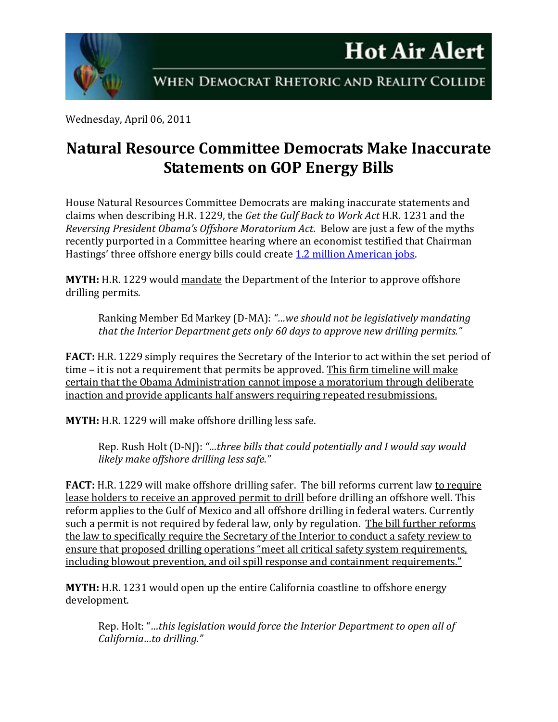

Wednesday, April 06, 2011

## **Natural Resource Committee Democrats Make Inaccurate Statements on GOP Energy Bills**

House Natural Resources Committee Democrats are making inaccurate statements and claims when describing H.R. 1229, the *Get the Gulf Back to Work Act* H.R. 1231 and the *Reversing President Obama's Offshore Moratorium Act*. Below are just a few of the myths recently purported in a Committee hearing where an economist testified that Chairman Hastings' three offshore energy bills could create [1.2 million American jobs.](http://naturalresources.house.gov/News/DocumentSingle.aspx?DocumentID=234291)

**MYTH:** H.R. 1229 would mandate the Department of the Interior to approve offshore drilling permits.

Ranking Member Ed Markey (D-MA): *"…we should not be legislatively mandating that the Interior Department gets only 60 days to approve new drilling permits."*

**FACT:** H.R. 1229 simply requires the Secretary of the Interior to act within the set period of time – it is not a requirement that permits be approved. This firm timeline will make certain that the Obama Administration cannot impose a moratorium through deliberate inaction and provide applicants half answers requiring repeated resubmissions.

**MYTH:** H.R. 1229 will make offshore drilling less safe.

Rep. Rush Holt (D-NJ): *"…three bills that could potentially and I would say would likely make offshore drilling less safe."*

**FACT:** H.R. 1229 will make offshore drilling safer. The bill reforms current law to require lease holders to receive an approved permit to drill before drilling an offshore well. This reform applies to the Gulf of Mexico and all offshore drilling in federal waters. Currently such a permit is not required by federal law, only by regulation. The bill further reforms the law to specifically require the Secretary of the Interior to conduct a safety review to ensure that proposed drilling operations "meet all critical safety system requirements, including blowout prevention, and oil spill response and containment requirements."

**MYTH:** H.R. 1231 would open up the entire California coastline to offshore energy development.

Rep. Holt: "*…this legislation would force the Interior Department to open all of California…to drilling."*